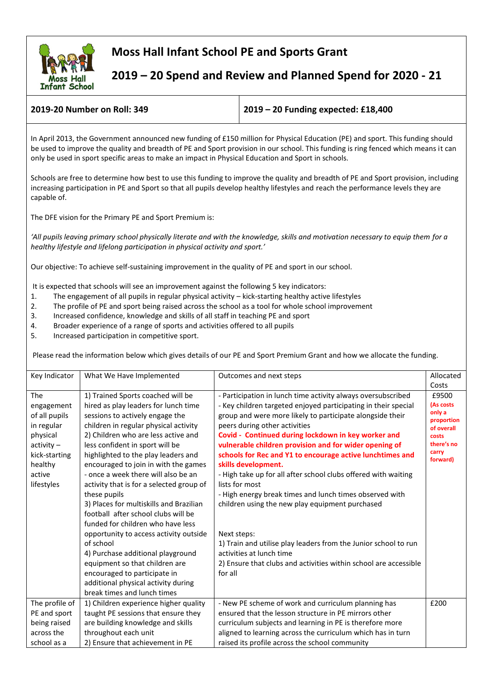

## **Moss Hall Infant School PE and Sports Grant**

 **2019 – 20 Spend and Review and Planned Spend for 2020 - 21**

**2019-20 Number on Roll: 349 2019 – 20 Funding expected: £18,400**

In April 2013, the Government announced new funding of £150 million for Physical Education (PE) and sport. This funding should be used to improve the quality and breadth of PE and Sport provision in our school. This funding is ring fenced which means it can only be used in sport specific areas to make an impact in Physical Education and Sport in schools.

Schools are free to determine how best to use this funding to improve the quality and breadth of PE and Sport provision, including increasing participation in PE and Sport so that all pupils develop healthy lifestyles and reach the performance levels they are capable of.

The DFE vision for the Primary PE and Sport Premium is:

*'All pupils leaving primary school physically literate and with the knowledge, skills and motivation necessary to equip them for a healthy lifestyle and lifelong participation in physical activity and sport.'*

Our objective: To achieve self-sustaining improvement in the quality of PE and sport in our school.

It is expected that schools will see an improvement against the following 5 key indicators:

- 1. The engagement of all pupils in regular physical activity kick-starting healthy active lifestyles
- 2. The profile of PE and sport being raised across the school as a tool for whole school improvement
- 3. Increased confidence, knowledge and skills of all staff in teaching PE and sport
- 4. Broader experience of a range of sports and activities offered to all pupils
- 5. Increased participation in competitive sport.

Please read the information below which gives details of our PE and Sport Premium Grant and how we allocate the funding.

| Key Indicator  | What We Have Implemented                 | Outcomes and next steps<br>Allocated                             |                      |
|----------------|------------------------------------------|------------------------------------------------------------------|----------------------|
|                |                                          |                                                                  | Costs                |
| The            | 1) Trained Sports coached will be        | - Participation in lunch time activity always oversubscribed     | £9500                |
| engagement     | hired as play leaders for lunch time     | - Key children targeted enjoyed participating in their special   | (As costs            |
| of all pupils  | sessions to actively engage the          | group and were more likely to participate alongside their        | only a<br>proportion |
| in regular     | children in regular physical activity    | peers during other activities                                    | of overall           |
| physical       | 2) Children who are less active and      | Covid - Continued during lockdown in key worker and              | costs                |
| $activity -$   | less confident in sport will be          | vulnerable children provision and for wider opening of           | there's no           |
| kick-starting  | highlighted to the play leaders and      | schools for Rec and Y1 to encourage active lunchtimes and        | carry<br>forward)    |
| healthy        | encouraged to join in with the games     | skills development.                                              |                      |
| active         | - once a week there will also be an      | - High take up for all after school clubs offered with waiting   |                      |
| lifestyles     | activity that is for a selected group of | lists for most                                                   |                      |
|                | these pupils                             | - High energy break times and lunch times observed with          |                      |
|                | 3) Places for multiskills and Brazilian  | children using the new play equipment purchased                  |                      |
|                | football after school clubs will be      |                                                                  |                      |
|                | funded for children who have less        |                                                                  |                      |
|                | opportunity to access activity outside   | Next steps:                                                      |                      |
|                | of school                                | 1) Train and utilise play leaders from the Junior school to run  |                      |
|                | 4) Purchase additional playground        | activities at lunch time                                         |                      |
|                | equipment so that children are           | 2) Ensure that clubs and activities within school are accessible |                      |
|                | encouraged to participate in             | for all                                                          |                      |
|                | additional physical activity during      |                                                                  |                      |
|                | break times and lunch times              |                                                                  |                      |
| The profile of | 1) Children experience higher quality    | - New PE scheme of work and curriculum planning has              | £200                 |
| PE and sport   | taught PE sessions that ensure they      | ensured that the lesson structure in PE mirrors other            |                      |
| being raised   | are building knowledge and skills        | curriculum subjects and learning in PE is therefore more         |                      |
| across the     | throughout each unit                     | aligned to learning across the curriculum which has in turn      |                      |
| school as a    | 2) Ensure that achievement in PE         | raised its profile across the school community                   |                      |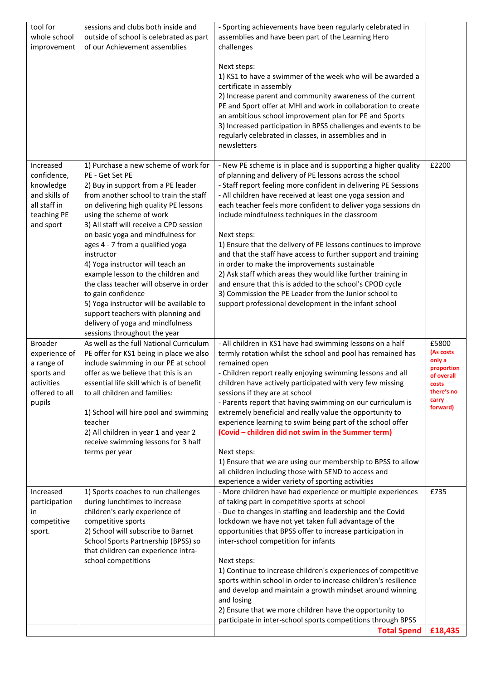| tool for<br>whole school<br>improvement                                                               | sessions and clubs both inside and<br>outside of school is celebrated as part<br>of our Achievement assemblies                                                                                                                                                                                                                                                                                                                                                                                                                                                                                                                                 | - Sporting achievements have been regularly celebrated in<br>assemblies and have been part of the Learning Hero<br>challenges<br>Next steps:<br>1) KS1 to have a swimmer of the week who will be awarded a<br>certificate in assembly<br>2) Increase parent and community awareness of the current<br>PE and Sport offer at MHI and work in collaboration to create<br>an ambitious school improvement plan for PE and Sports<br>3) Increased participation in BPSS challenges and events to be<br>regularly celebrated in classes, in assemblies and in<br>newsletters                                                                                                                                                                                                                                                           |                                                                                                      |
|-------------------------------------------------------------------------------------------------------|------------------------------------------------------------------------------------------------------------------------------------------------------------------------------------------------------------------------------------------------------------------------------------------------------------------------------------------------------------------------------------------------------------------------------------------------------------------------------------------------------------------------------------------------------------------------------------------------------------------------------------------------|-----------------------------------------------------------------------------------------------------------------------------------------------------------------------------------------------------------------------------------------------------------------------------------------------------------------------------------------------------------------------------------------------------------------------------------------------------------------------------------------------------------------------------------------------------------------------------------------------------------------------------------------------------------------------------------------------------------------------------------------------------------------------------------------------------------------------------------|------------------------------------------------------------------------------------------------------|
| Increased<br>confidence,<br>knowledge<br>and skills of<br>all staff in<br>teaching PE<br>and sport    | 1) Purchase a new scheme of work for<br>PE - Get Set PE<br>2) Buy in support from a PE leader<br>from another school to train the staff<br>on delivering high quality PE lessons<br>using the scheme of work<br>3) All staff will receive a CPD session<br>on basic yoga and mindfulness for<br>ages 4 - 7 from a qualified yoga<br>instructor<br>4) Yoga instructor will teach an<br>example lesson to the children and<br>the class teacher will observe in order<br>to gain confidence<br>5) Yoga instructor will be available to<br>support teachers with planning and<br>delivery of yoga and mindfulness<br>sessions throughout the year | - New PE scheme is in place and is supporting a higher quality<br>of planning and delivery of PE lessons across the school<br>- Staff report feeling more confident in delivering PE Sessions<br>- All children have received at least one yoga session and<br>each teacher feels more confident to deliver yoga sessions dn<br>include mindfulness techniques in the classroom<br>Next steps:<br>1) Ensure that the delivery of PE lessons continues to improve<br>and that the staff have access to further support and training<br>in order to make the improvements sustainable<br>2) Ask staff which areas they would like further training in<br>and ensure that this is added to the school's CPOD cycle<br>3) Commission the PE Leader from the Junior school to<br>support professional development in the infant school | £2200                                                                                                |
| <b>Broader</b><br>experience of<br>a range of<br>sports and<br>activities<br>offered to all<br>pupils | As well as the full National Curriculum<br>PE offer for KS1 being in place we also<br>include swimming in our PE at school<br>offer as we believe that this is an<br>essential life skill which is of benefit<br>to all children and families:<br>1) School will hire pool and swimming<br>teacher<br>2) All children in year 1 and year 2<br>receive swimming lessons for 3 half<br>terms per year                                                                                                                                                                                                                                            | - All children in KS1 have had swimming lessons on a half<br>termly rotation whilst the school and pool has remained has<br>remained open<br>- Children report really enjoying swimming lessons and all<br>children have actively participated with very few missing<br>sessions if they are at school<br>- Parents report that having swimming on our curriculum is<br>extremely beneficial and really value the opportunity to<br>experience learning to swim being part of the school offer<br>(Covid - children did not swim in the Summer term)<br>Next steps:<br>1) Ensure that we are using our membership to BPSS to allow<br>all children including those with SEND to access and<br>experience a wider variety of sporting activities                                                                                   | £5800<br>(As costs<br>only a<br>proportion<br>of overall<br>costs<br>there's no<br>carry<br>forward) |
| Increased<br>participation<br>in<br>competitive<br>sport.                                             | 1) Sports coaches to run challenges<br>during lunchtimes to increase<br>children's early experience of<br>competitive sports<br>2) School will subscribe to Barnet<br>School Sports Partnership (BPSS) so<br>that children can experience intra-<br>school competitions                                                                                                                                                                                                                                                                                                                                                                        | - More children have had experience or multiple experiences<br>of taking part in competitive sports at school<br>- Due to changes in staffing and leadership and the Covid<br>lockdown we have not yet taken full advantage of the<br>opportunities that BPSS offer to increase participation in<br>inter-school competition for infants<br>Next steps:<br>1) Continue to increase children's experiences of competitive<br>sports within school in order to increase children's resilience<br>and develop and maintain a growth mindset around winning<br>and losing<br>2) Ensure that we more children have the opportunity to<br>participate in inter-school sports competitions through BPSS<br><b>Total Spend</b>                                                                                                            | £735<br>£18,435                                                                                      |